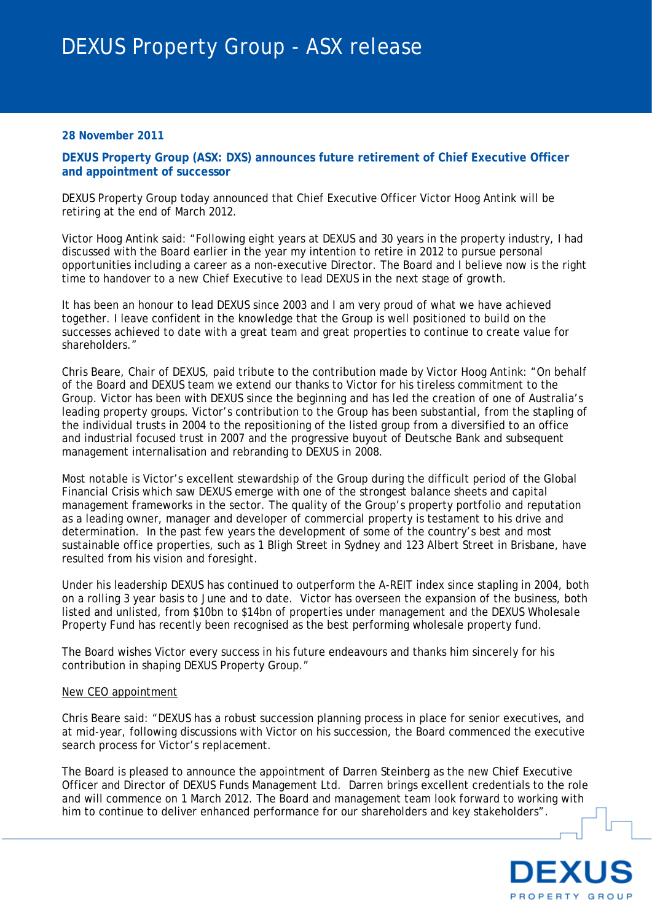### **28 November 2011**

**DEXUS Property Group (ASX: DXS) announces future retirement of Chief Executive Officer and appointment of successor** 

DEXUS Property Group today announced that Chief Executive Officer Victor Hoog Antink will be retiring at the end of March 2012.

Victor Hoog Antink said: "Following eight years at DEXUS and 30 years in the property industry, I had discussed with the Board earlier in the year my intention to retire in 2012 to pursue personal opportunities including a career as a non-executive Director. The Board and I believe now is the right time to handover to a new Chief Executive to lead DEXUS in the next stage of growth.

It has been an honour to lead DEXUS since 2003 and I am very proud of what we have achieved together. I leave confident in the knowledge that the Group is well positioned to build on the successes achieved to date with a great team and great properties to continue to create value for shareholders."

Chris Beare, Chair of DEXUS, paid tribute to the contribution made by Victor Hoog Antink: "On behalf of the Board and DEXUS team we extend our thanks to Victor for his tireless commitment to the Group. Victor has been with DEXUS since the beginning and has led the creation of one of Australia's leading property groups. Victor's contribution to the Group has been substantial, from the stapling of the individual trusts in 2004 to the repositioning of the listed group from a diversified to an office and industrial focused trust in 2007 and the progressive buyout of Deutsche Bank and subsequent management internalisation and rebranding to DEXUS in 2008.

Most notable is Victor's excellent stewardship of the Group during the difficult period of the Global Financial Crisis which saw DEXUS emerge with one of the strongest balance sheets and capital management frameworks in the sector. The quality of the Group's property portfolio and reputation as a leading owner, manager and developer of commercial property is testament to his drive and determination. In the past few years the development of some of the country's best and most sustainable office properties, such as 1 Bligh Street in Sydney and 123 Albert Street in Brisbane, have resulted from his vision and foresight.

Under his leadership DEXUS has continued to outperform the A-REIT index since stapling in 2004, both on a rolling 3 year basis to June and to date. Victor has overseen the expansion of the business, both listed and unlisted, from \$10bn to \$14bn of properties under management and the DEXUS Wholesale Property Fund has recently been recognised as the best performing wholesale property fund.

The Board wishes Victor every success in his future endeavours and thanks him sincerely for his contribution in shaping DEXUS Property Group."

#### New CEO appointment

Chris Beare said: "DEXUS has a robust succession planning process in place for senior executives, and at mid-year, following discussions with Victor on his succession, the Board commenced the executive search process for Victor's replacement.

The Board is pleased to announce the appointment of Darren Steinberg as the new Chief Executive Officer and Director of DEXUS Funds Management Ltd. Darren brings excellent credentials to the role and will commence on 1 March 2012. The Board and management team look forward to working with him to continue to deliver enhanced performance for our shareholders and key stakeholders".

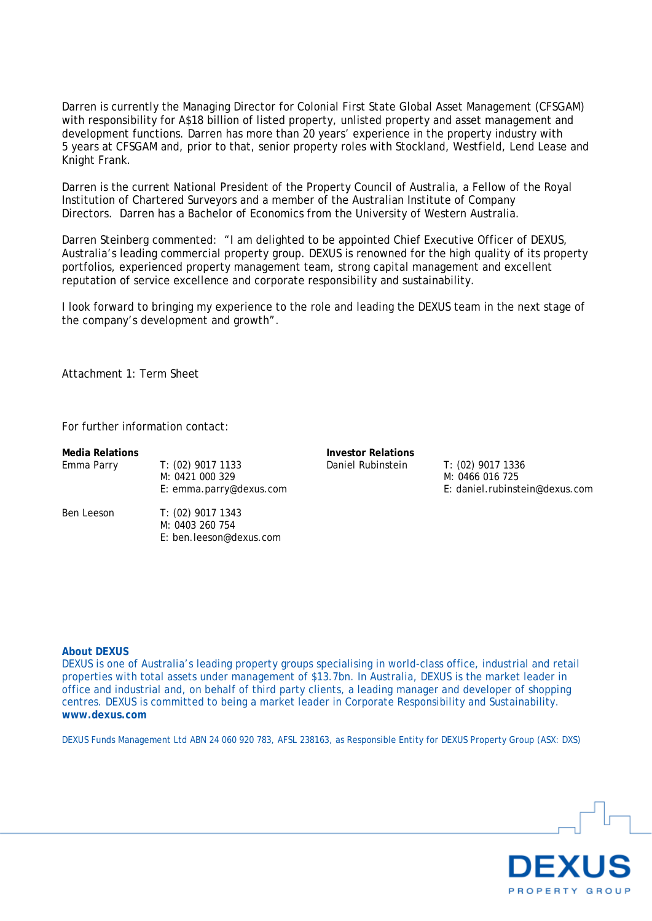Darren is currently the Managing Director for Colonial First State Global Asset Management (CFSGAM) with responsibility for A\$18 billion of listed property, unlisted property and asset management and development functions. Darren has more than 20 years' experience in the property industry with 5 years at CFSGAM and, prior to that, senior property roles with Stockland, Westfield, Lend Lease and Knight Frank.

Darren is the current National President of the Property Council of Australia, a Fellow of the Royal Institution of Chartered Surveyors and a member of the Australian Institute of Company Directors. Darren has a Bachelor of Economics from the University of Western Australia.

Darren Steinberg commented: "I am delighted to be appointed Chief Executive Officer of DEXUS, Australia's leading commercial property group. DEXUS is renowned for the high quality of its property portfolios, experienced property management team, strong capital management and excellent reputation of service excellence and corporate responsibility and sustainability.

I look forward to bringing my experience to the role and leading the DEXUS team in the next stage of the company's development and growth".

Attachment 1: Term Sheet

For further information contact:

| <b>Media Relations</b> |                                                                   | <b>Investor Relations</b> |                                                                        |
|------------------------|-------------------------------------------------------------------|---------------------------|------------------------------------------------------------------------|
| Emma Parry             | $T: (02)$ 9017 1133<br>M: 0421 000 329<br>E: emma.parry@dexus.com | Daniel Rubinstein         | T: (02) 9017 1336<br>M: 0466 016 725<br>E: daniel.rubinstein@dexus.com |
| Ben Leeson             | T: (02) 9017 1343<br>M: 0403 260 754<br>E: ben.leeson@dexus.com   |                           |                                                                        |

#### **About DEXUS**

DEXUS is one of Australia's leading property groups specialising in world-class office, industrial and retail properties with total assets under management of \$13.7bn. In Australia, DEXUS is the market leader in office and industrial and, on behalf of third party clients, a leading manager and developer of shopping centres. DEXUS is committed to being a market leader in Corporate Responsibility and Sustainability. **www.dexus.com**

DEXUS Funds Management Ltd ABN 24 060 920 783, AFSL 238163, as Responsible Entity for DEXUS Property Group (ASX: DXS)